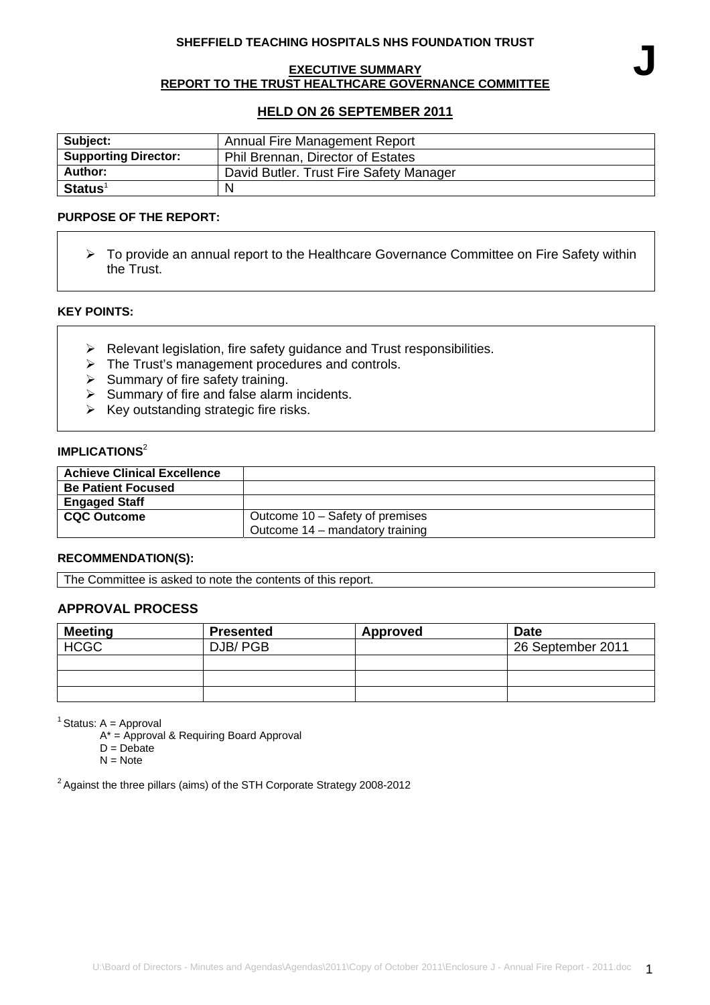### **SHEFFIELD TEACHING HOSPITALS NHS FOUNDATION TRUST**

#### **EXECUTIVE SUMMARY REPORT TO THE TRUST HEALTHCARE GOVERNANCE COMMITTEE**

# **HELD ON 26 SEPTEMBER 2011**

| Subject:                    | Annual Fire Management Report           |  |
|-----------------------------|-----------------------------------------|--|
| <b>Supporting Director:</b> | Phil Brennan, Director of Estates       |  |
| Author:                     | David Butler. Trust Fire Safety Manager |  |
| $Status1$                   |                                         |  |

#### **PURPOSE OF THE REPORT:**

¾ To provide an annual report to the Healthcare Governance Committee on Fire Safety within the Trust.

#### **KEY POINTS:**

- $\triangleright$  Relevant legislation, fire safety guidance and Trust responsibilities.
- $\triangleright$  The Trust's management procedures and controls.
- $\triangleright$  Summary of fire safety training.
- $\triangleright$  Summary of fire and false alarm incidents.
- $\triangleright$  Key outstanding strategic fire risks.

# **IMPLICATIONS<sup>2</sup>**

| <b>Achieve Clinical Excellence</b> |                                 |
|------------------------------------|---------------------------------|
| <b>Be Patient Focused</b>          |                                 |
| <b>Engaged Staff</b>               |                                 |
| <b>CQC Outcome</b>                 | Outcome 10 – Safety of premises |
|                                    | Outcome 14 – mandatory training |

#### **RECOMMENDATION(S):**

The Committee is asked to note the contents of this report.

### **APPROVAL PROCESS**

| <b>Meeting</b> | <b>Presented</b> | Approved | <b>Date</b>       |
|----------------|------------------|----------|-------------------|
| <b>HCGC</b>    | DJB/PGB          |          | 26 September 2011 |
|                |                  |          |                   |
|                |                  |          |                   |
|                |                  |          |                   |

 $<sup>1</sup>$  Status: A = Approval</sup>

A\* = Approval & Requiring Board Approval

- $D = Debate$
- $N = Note$

<sup>2</sup> Against the three pillars (aims) of the STH Corporate Strategy 2008-2012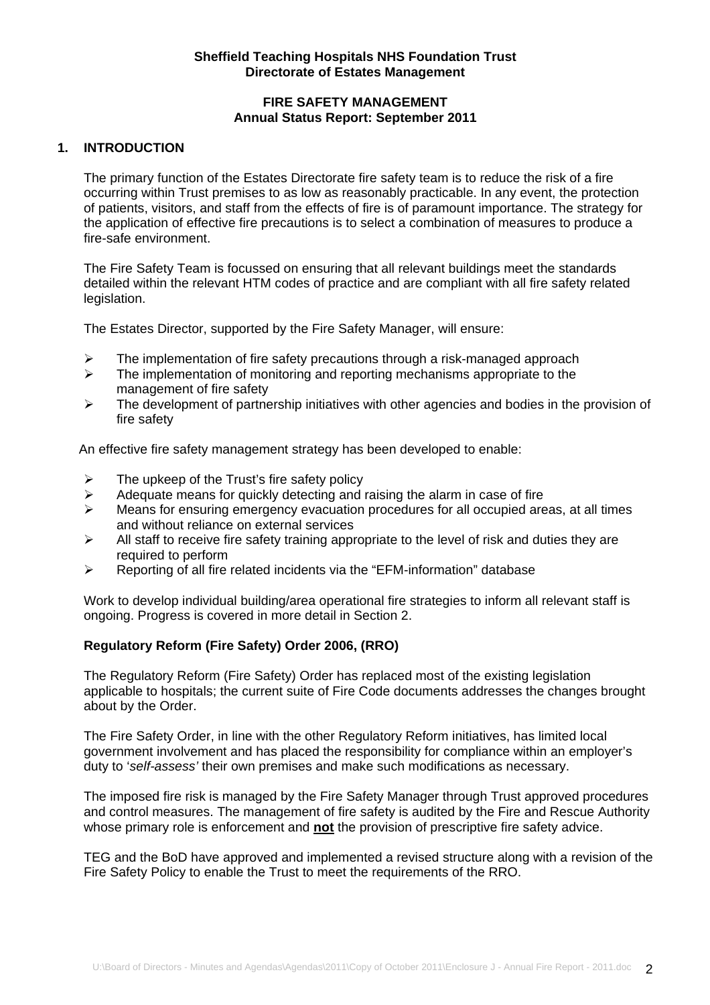# **Sheffield Teaching Hospitals NHS Foundation Trust Directorate of Estates Management**

## **FIRE SAFETY MANAGEMENT Annual Status Report: September 2011**

## **1. INTRODUCTION**

The primary function of the Estates Directorate fire safety team is to reduce the risk of a fire occurring within Trust premises to as low as reasonably practicable. In any event, the protection of patients, visitors, and staff from the effects of fire is of paramount importance. The strategy for the application of effective fire precautions is to select a combination of measures to produce a fire-safe environment.

The Fire Safety Team is focussed on ensuring that all relevant buildings meet the standards detailed within the relevant HTM codes of practice and are compliant with all fire safety related legislation.

The Estates Director, supported by the Fire Safety Manager, will ensure:

- $\triangleright$  The implementation of fire safety precautions through a risk-managed approach
- $\triangleright$  The implementation of monitoring and reporting mechanisms appropriate to the management of fire safety
- $\triangleright$  The development of partnership initiatives with other agencies and bodies in the provision of fire safety

An effective fire safety management strategy has been developed to enable:

- $\triangleright$  The upkeep of the Trust's fire safety policy
- $\triangleright$  Adequate means for quickly detecting and raising the alarm in case of fire
- ¾ Means for ensuring emergency evacuation procedures for all occupied areas, at all times and without reliance on external services
- $\triangleright$  All staff to receive fire safety training appropriate to the level of risk and duties they are required to perform
- $\triangleright$  Reporting of all fire related incidents via the "EFM-information" database

Work to develop individual building/area operational fire strategies to inform all relevant staff is ongoing. Progress is covered in more detail in Section 2.

## **Regulatory Reform (Fire Safety) Order 2006, (RRO)**

The Regulatory Reform (Fire Safety) Order has replaced most of the existing legislation applicable to hospitals; the current suite of Fire Code documents addresses the changes brought about by the Order.

The Fire Safety Order, in line with the other Regulatory Reform initiatives, has limited local government involvement and has placed the responsibility for compliance within an employer's duty to '*self-assess'* their own premises and make such modifications as necessary.

The imposed fire risk is managed by the Fire Safety Manager through Trust approved procedures and control measures. The management of fire safety is audited by the Fire and Rescue Authority whose primary role is enforcement and **not** the provision of prescriptive fire safety advice.

TEG and the BoD have approved and implemented a revised structure along with a revision of the Fire Safety Policy to enable the Trust to meet the requirements of the RRO.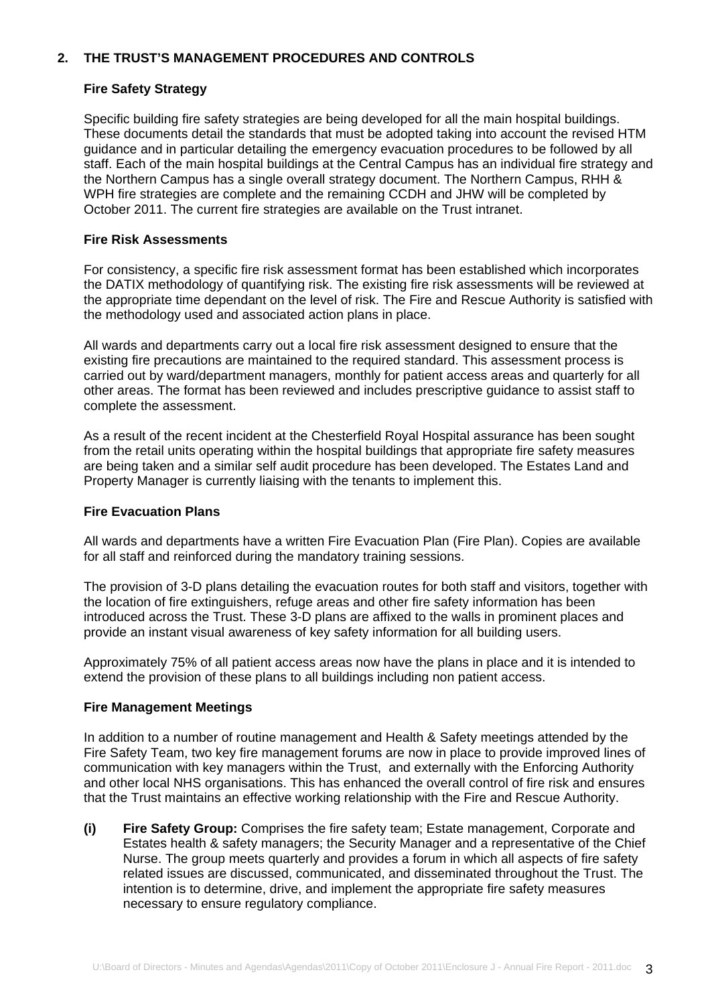# **2. THE TRUST'S MANAGEMENT PROCEDURES AND CONTROLS**

## **Fire Safety Strategy**

Specific building fire safety strategies are being developed for all the main hospital buildings. These documents detail the standards that must be adopted taking into account the revised HTM guidance and in particular detailing the emergency evacuation procedures to be followed by all staff. Each of the main hospital buildings at the Central Campus has an individual fire strategy and the Northern Campus has a single overall strategy document. The Northern Campus, RHH & WPH fire strategies are complete and the remaining CCDH and JHW will be completed by October 2011. The current fire strategies are available on the Trust intranet.

## **Fire Risk Assessments**

For consistency, a specific fire risk assessment format has been established which incorporates the DATIX methodology of quantifying risk. The existing fire risk assessments will be reviewed at the appropriate time dependant on the level of risk. The Fire and Rescue Authority is satisfied with the methodology used and associated action plans in place.

All wards and departments carry out a local fire risk assessment designed to ensure that the existing fire precautions are maintained to the required standard. This assessment process is carried out by ward/department managers, monthly for patient access areas and quarterly for all other areas. The format has been reviewed and includes prescriptive guidance to assist staff to complete the assessment.

As a result of the recent incident at the Chesterfield Royal Hospital assurance has been sought from the retail units operating within the hospital buildings that appropriate fire safety measures are being taken and a similar self audit procedure has been developed. The Estates Land and Property Manager is currently liaising with the tenants to implement this.

#### **Fire Evacuation Plans**

All wards and departments have a written Fire Evacuation Plan (Fire Plan). Copies are available for all staff and reinforced during the mandatory training sessions.

The provision of 3-D plans detailing the evacuation routes for both staff and visitors, together with the location of fire extinguishers, refuge areas and other fire safety information has been introduced across the Trust. These 3-D plans are affixed to the walls in prominent places and provide an instant visual awareness of key safety information for all building users.

Approximately 75% of all patient access areas now have the plans in place and it is intended to extend the provision of these plans to all buildings including non patient access.

#### **Fire Management Meetings**

In addition to a number of routine management and Health & Safety meetings attended by the Fire Safety Team, two key fire management forums are now in place to provide improved lines of communication with key managers within the Trust, and externally with the Enforcing Authority and other local NHS organisations. This has enhanced the overall control of fire risk and ensures that the Trust maintains an effective working relationship with the Fire and Rescue Authority.

**(i) Fire Safety Group:** Comprises the fire safety team; Estate management, Corporate and Estates health & safety managers; the Security Manager and a representative of the Chief Nurse. The group meets quarterly and provides a forum in which all aspects of fire safety related issues are discussed, communicated, and disseminated throughout the Trust. The intention is to determine, drive, and implement the appropriate fire safety measures necessary to ensure regulatory compliance.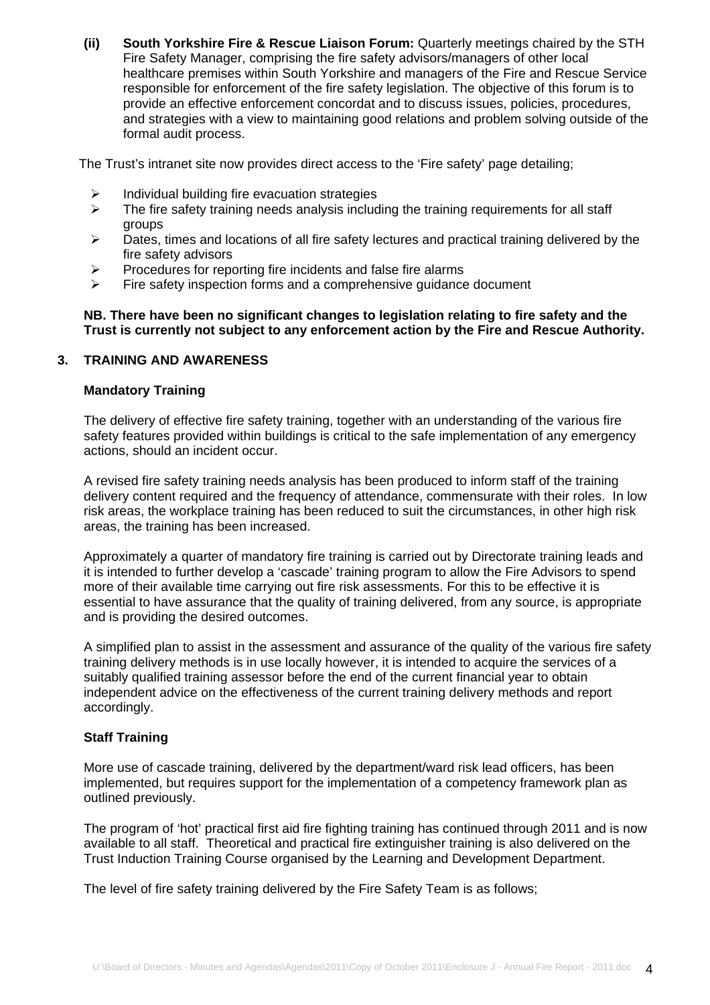**(ii) South Yorkshire Fire & Rescue Liaison Forum:** Quarterly meetings chaired by the STH Fire Safety Manager, comprising the fire safety advisors/managers of other local healthcare premises within South Yorkshire and managers of the Fire and Rescue Service responsible for enforcement of the fire safety legislation. The objective of this forum is to provide an effective enforcement concordat and to discuss issues, policies, procedures, and strategies with a view to maintaining good relations and problem solving outside of the formal audit process.

The Trust's intranet site now provides direct access to the 'Fire safety' page detailing;

- Individual building fire evacuation strategies
- $\triangleright$  The fire safety training needs analysis including the training requirements for all staff groups
- $\triangleright$  Dates, times and locations of all fire safety lectures and practical training delivered by the fire safety advisors
- $\triangleright$  Procedures for reporting fire incidents and false fire alarms
- $\triangleright$  Fire safety inspection forms and a comprehensive quidance document

## **NB. There have been no significant changes to legislation relating to fire safety and the Trust is currently not subject to any enforcement action by the Fire and Rescue Authority.**

## **3. TRAINING AND AWARENESS**

## **Mandatory Training**

The delivery of effective fire safety training, together with an understanding of the various fire safety features provided within buildings is critical to the safe implementation of any emergency actions, should an incident occur.

A revised fire safety training needs analysis has been produced to inform staff of the training delivery content required and the frequency of attendance, commensurate with their roles. In low risk areas, the workplace training has been reduced to suit the circumstances, in other high risk areas, the training has been increased.

Approximately a quarter of mandatory fire training is carried out by Directorate training leads and it is intended to further develop a 'cascade' training program to allow the Fire Advisors to spend more of their available time carrying out fire risk assessments. For this to be effective it is essential to have assurance that the quality of training delivered, from any source, is appropriate and is providing the desired outcomes.

A simplified plan to assist in the assessment and assurance of the quality of the various fire safety training delivery methods is in use locally however, it is intended to acquire the services of a suitably qualified training assessor before the end of the current financial year to obtain independent advice on the effectiveness of the current training delivery methods and report accordingly.

## **Staff Training**

More use of cascade training, delivered by the department/ward risk lead officers, has been implemented, but requires support for the implementation of a competency framework plan as outlined previously.

The program of 'hot' practical first aid fire fighting training has continued through 2011 and is now available to all staff. Theoretical and practical fire extinguisher training is also delivered on the Trust Induction Training Course organised by the Learning and Development Department.

The level of fire safety training delivered by the Fire Safety Team is as follows;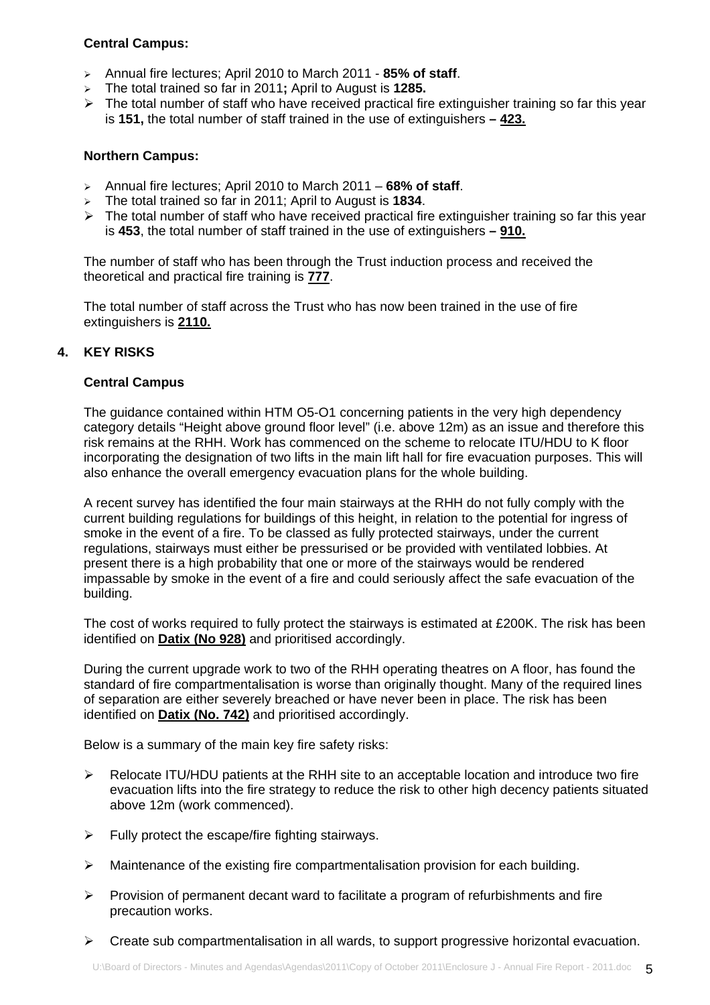# **Central Campus:**

- ¾ Annual fire lectures; April 2010 to March 2011 **85% of staff**.
- ¾ The total trained so far in 2011**;** April to August is **1285.**
- $\triangleright$  The total number of staff who have received practical fire extinguisher training so far this year is **151,** the total number of staff trained in the use of extinguishers **– 423.**

## **Northern Campus:**

- ¾ Annual fire lectures; April 2010 to March 2011 **68% of staff**.
- ¾ The total trained so far in 2011; April to August is **1834**.
- $\triangleright$  The total number of staff who have received practical fire extinguisher training so far this year is **453**, the total number of staff trained in the use of extinguishers **– 910.**

The number of staff who has been through the Trust induction process and received the theoretical and practical fire training is **777**.

The total number of staff across the Trust who has now been trained in the use of fire extinguishers is **2110.**

## **4. KEY RISKS**

## **Central Campus**

The guidance contained within HTM O5-O1 concerning patients in the very high dependency category details "Height above ground floor level" (i.e. above 12m) as an issue and therefore this risk remains at the RHH. Work has commenced on the scheme to relocate ITU/HDU to K floor incorporating the designation of two lifts in the main lift hall for fire evacuation purposes. This will also enhance the overall emergency evacuation plans for the whole building.

A recent survey has identified the four main stairways at the RHH do not fully comply with the current building regulations for buildings of this height, in relation to the potential for ingress of smoke in the event of a fire. To be classed as fully protected stairways, under the current regulations, stairways must either be pressurised or be provided with ventilated lobbies. At present there is a high probability that one or more of the stairways would be rendered impassable by smoke in the event of a fire and could seriously affect the safe evacuation of the building.

The cost of works required to fully protect the stairways is estimated at £200K. The risk has been identified on **Datix (No 928)** and prioritised accordingly.

During the current upgrade work to two of the RHH operating theatres on A floor, has found the standard of fire compartmentalisation is worse than originally thought. Many of the required lines of separation are either severely breached or have never been in place. The risk has been identified on **Datix (No. 742)** and prioritised accordingly.

Below is a summary of the main key fire safety risks:

- ¾ Relocate ITU/HDU patients at the RHH site to an acceptable location and introduce two fire evacuation lifts into the fire strategy to reduce the risk to other high decency patients situated above 12m (work commenced).
- $\triangleright$  Fully protect the escape/fire fighting stairways.
- $\triangleright$  Maintenance of the existing fire compartmentalisation provision for each building.
- $\triangleright$  Provision of permanent decant ward to facilitate a program of refurbishments and fire precaution works.
- $\triangleright$  Create sub compartmentalisation in all wards, to support progressive horizontal evacuation.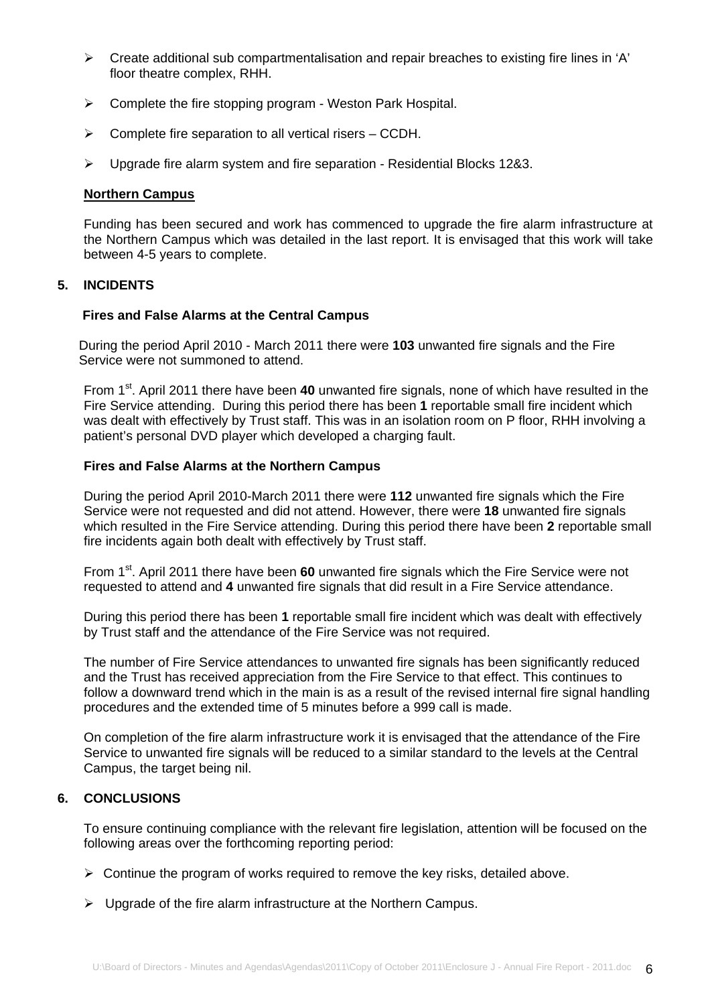- $\triangleright$  Create additional sub compartmentalisation and repair breaches to existing fire lines in 'A' floor theatre complex, RHH.
- $\triangleright$  Complete the fire stopping program Weston Park Hospital.
- $\triangleright$  Complete fire separation to all vertical risers CCDH.
- $\geq$  Upgrade fire alarm system and fire separation Residential Blocks 12&3.

### **Northern Campus**

Funding has been secured and work has commenced to upgrade the fire alarm infrastructure at the Northern Campus which was detailed in the last report. It is envisaged that this work will take between 4-5 years to complete.

# **5. INCIDENTS**

#### **Fires and False Alarms at the Central Campus**

During the period April 2010 - March 2011 there were **103** unwanted fire signals and the Fire Service were not summoned to attend.

From 1st. April 2011 there have been **40** unwanted fire signals, none of which have resulted in the Fire Service attending. During this period there has been **1** reportable small fire incident which was dealt with effectively by Trust staff. This was in an isolation room on P floor, RHH involving a patient's personal DVD player which developed a charging fault.

## **Fires and False Alarms at the Northern Campus**

During the period April 2010-March 2011 there were **112** unwanted fire signals which the Fire Service were not requested and did not attend. However, there were **18** unwanted fire signals which resulted in the Fire Service attending. During this period there have been **2** reportable small fire incidents again both dealt with effectively by Trust staff.

From 1<sup>st</sup>. April 2011 there have been 60 unwanted fire signals which the Fire Service were not requested to attend and **4** unwanted fire signals that did result in a Fire Service attendance.

During this period there has been **1** reportable small fire incident which was dealt with effectively by Trust staff and the attendance of the Fire Service was not required.

The number of Fire Service attendances to unwanted fire signals has been significantly reduced and the Trust has received appreciation from the Fire Service to that effect. This continues to follow a downward trend which in the main is as a result of the revised internal fire signal handling procedures and the extended time of 5 minutes before a 999 call is made.

On completion of the fire alarm infrastructure work it is envisaged that the attendance of the Fire Service to unwanted fire signals will be reduced to a similar standard to the levels at the Central Campus, the target being nil.

# **6. CONCLUSIONS**

To ensure continuing compliance with the relevant fire legislation, attention will be focused on the following areas over the forthcoming reporting period:

- $\triangleright$  Continue the program of works required to remove the key risks, detailed above.
- $\triangleright$  Upgrade of the fire alarm infrastructure at the Northern Campus.